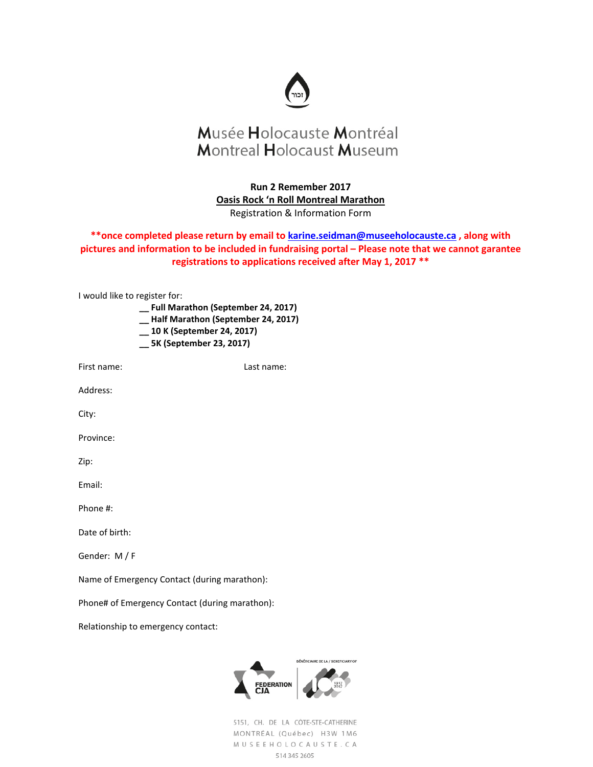

**Run 2 Remember 2017 Oasis Rock 'n Roll Montreal Marathon** Registration & Information Form

**\*\*once completed please return by email t[o karine.seidman@museeholocauste.ca](mailto:karine.seidman@museeholocauste.ca) , along with pictures and information to be included in fundraising portal – Please note that we cannot garantee registrations to applications received after May 1, 2017 \*\***

| I would like to register for: | Full Marathon (September 24, 2017)<br>__Half Marathon (September 24, 2017)<br>__ 10 K (September 24, 2017)<br>__ 5K (September 23, 2017) |            |                                            |
|-------------------------------|------------------------------------------------------------------------------------------------------------------------------------------|------------|--------------------------------------------|
| First name:                   |                                                                                                                                          | Last name: |                                            |
| Address:                      |                                                                                                                                          |            |                                            |
| City:                         |                                                                                                                                          |            |                                            |
| Province:                     |                                                                                                                                          |            |                                            |
| Zip:                          |                                                                                                                                          |            |                                            |
| Email:                        |                                                                                                                                          |            |                                            |
| Phone #:                      |                                                                                                                                          |            |                                            |
| Date of birth:                |                                                                                                                                          |            |                                            |
| Gender: M / F                 |                                                                                                                                          |            |                                            |
|                               | Name of Emergency Contact (during marathon):                                                                                             |            |                                            |
|                               | Phone# of Emergency Contact (during marathon):                                                                                           |            |                                            |
|                               | Relationship to emergency contact:                                                                                                       |            |                                            |
|                               |                                                                                                                                          |            | <b>BÉNÉFICIAIRE DE LA / BENEFICIARY OF</b> |

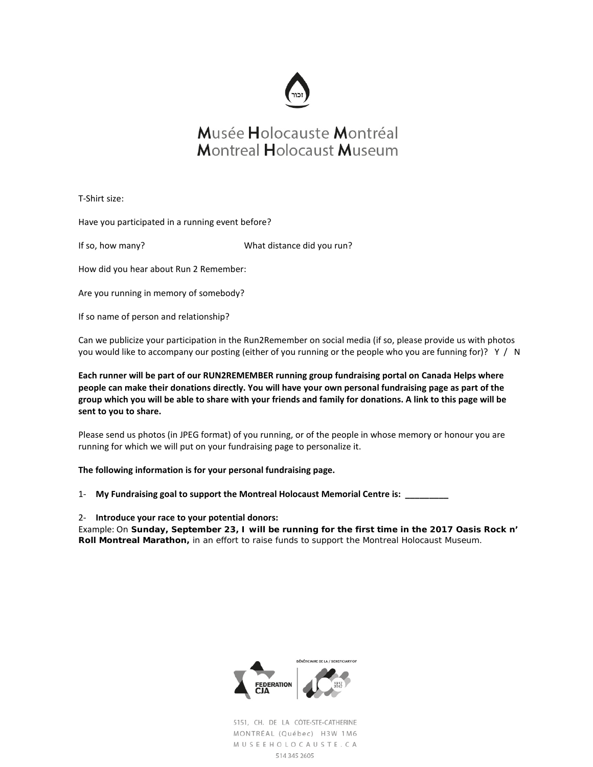

T-Shirt size:

Have you participated in a running event before?

If so, how many? What distance did you run?

How did you hear about Run 2 Remember:

Are you running in memory of somebody?

If so name of person and relationship?

Can we publicize your participation in the Run2Remember on social media (if so, please provide us with photos you would like to accompany our posting (either of you running or the people who you are funning for)? Y / N

**Each runner will be part of our RUN2REMEMBER running group fundraising portal on Canada Helps where people can make their donations directly. You will have your own personal fundraising page as part of the group which you will be able to share with your friends and family for donations. A link to this page will be sent to you to share.**

Please send us photos (in JPEG format) of you running, or of the people in whose memory or honour you are running for which we will put on your fundraising page to personalize it.

### **The following information is for your personal fundraising page.**

- 1- **My Fundraising goal to support the Montreal Holocaust Memorial Centre is: \_\_\_\_\_\_\_\_\_**
- 2- **Introduce your race to your potential donors:**

Example: *On Sunday, September 23, I will be running for the first time in the 2017 Oasis Rock n' Roll Montreal Marathon, in an effort to raise funds to support the Montreal Holocaust Museum.*

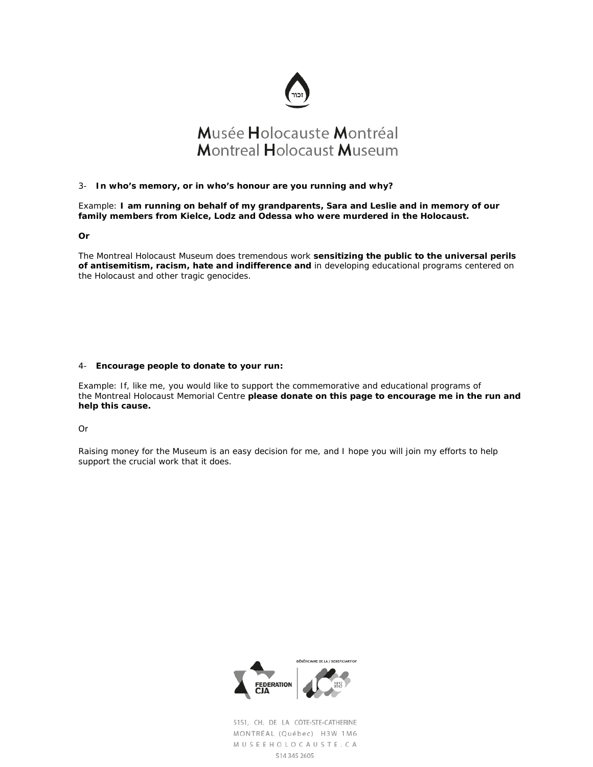

#### 3- **In who's memory, or in who's honour are you running and why?**

Example: *I am running on behalf of my grandparents, Sara and Leslie and in memory of our family members from Kielce, Lodz and Odessa who were murdered in the Holocaust.*

*Or*

*The Montreal Holocaust Museum does tremendous work sensitizing the public to the universal perils of antisemitism, racism, hate and indifference and in developing educational programs centered on the Holocaust and other tragic genocides.*

#### 4- **Encourage people to donate to your run:**

Example: *If, like me, you would like to support the commemorative and educational programs of the Montreal Holocaust Memorial Centre please donate on this page to encourage me in the run and help this cause.*

Or

*Raising money for the Museum is an easy decision for me, and I hope you will join my efforts to help support the crucial work that it does.*